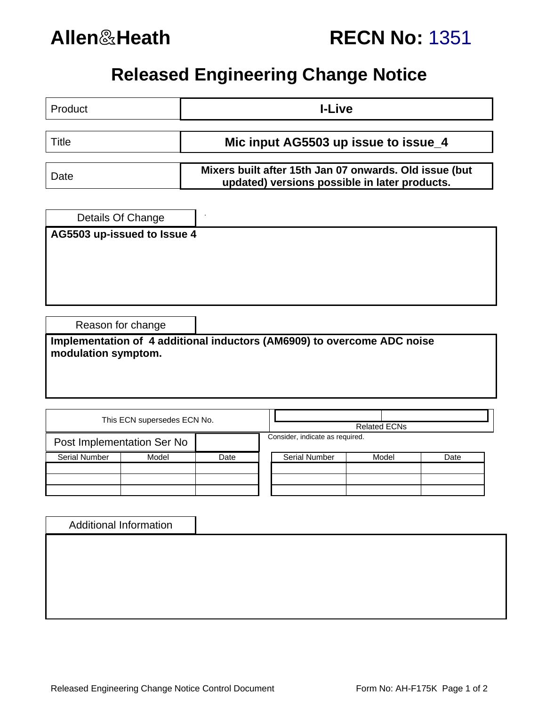

| <b>RECN No: 1351</b> |  |  |
|----------------------|--|--|
|----------------------|--|--|

# **Released Engineering Change Notice**

| Product                                                                                        |  | <b>I-Live</b>                                                                                           |                      |                     |      |  |  |  |
|------------------------------------------------------------------------------------------------|--|---------------------------------------------------------------------------------------------------------|----------------------|---------------------|------|--|--|--|
| <b>Title</b>                                                                                   |  | Mic input AG5503 up issue to issue_4                                                                    |                      |                     |      |  |  |  |
| Date                                                                                           |  | Mixers built after 15th Jan 07 onwards. Old issue (but<br>updated) versions possible in later products. |                      |                     |      |  |  |  |
|                                                                                                |  |                                                                                                         |                      |                     |      |  |  |  |
| Details Of Change                                                                              |  |                                                                                                         |                      |                     |      |  |  |  |
| AG5503 up-issued to Issue 4                                                                    |  |                                                                                                         |                      |                     |      |  |  |  |
|                                                                                                |  |                                                                                                         |                      |                     |      |  |  |  |
|                                                                                                |  |                                                                                                         |                      |                     |      |  |  |  |
|                                                                                                |  |                                                                                                         |                      |                     |      |  |  |  |
|                                                                                                |  |                                                                                                         |                      |                     |      |  |  |  |
|                                                                                                |  |                                                                                                         |                      |                     |      |  |  |  |
|                                                                                                |  |                                                                                                         |                      |                     |      |  |  |  |
| Reason for change                                                                              |  |                                                                                                         |                      |                     |      |  |  |  |
| Implementation of 4 additional inductors (AM6909) to overcome ADC noise<br>modulation symptom. |  |                                                                                                         |                      |                     |      |  |  |  |
|                                                                                                |  |                                                                                                         |                      |                     |      |  |  |  |
| This ECN supersedes ECN No.                                                                    |  |                                                                                                         |                      | <b>Related ECNs</b> |      |  |  |  |
| Consider, indicate as required.                                                                |  |                                                                                                         |                      |                     |      |  |  |  |
| Post Implementation Ser No                                                                     |  |                                                                                                         |                      |                     |      |  |  |  |
| <b>Serial Number</b><br>Model                                                                  |  | Date                                                                                                    | <b>Serial Number</b> | Model               | Date |  |  |  |
|                                                                                                |  |                                                                                                         |                      |                     |      |  |  |  |
|                                                                                                |  |                                                                                                         |                      |                     |      |  |  |  |
|                                                                                                |  |                                                                                                         |                      |                     |      |  |  |  |
|                                                                                                |  |                                                                                                         |                      |                     |      |  |  |  |
| <b>Additional Information</b>                                                                  |  |                                                                                                         |                      |                     |      |  |  |  |